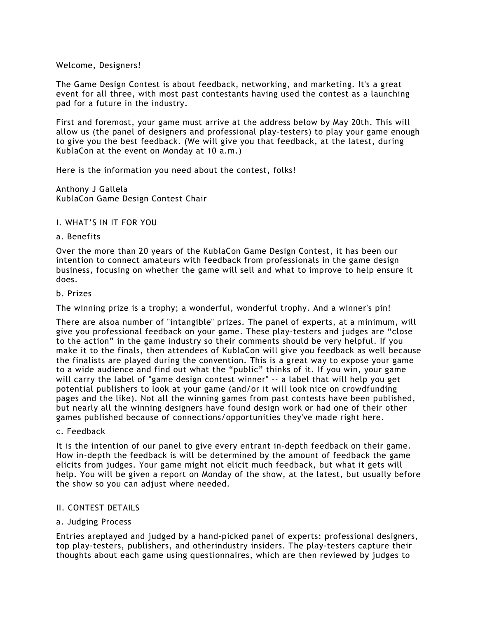# Welcome, Designers!

The Game Design Contest is about feedback, networking, and marketing. It's a great event for all three, with most past contestants having used the contest as a launching pad for a future in the industry.

First and foremost, your game must arrive at the address below by May 20th. This will allow us (the panel of designers and professional play-testers) to play your game enough to give you the best feedback. (We will give you that feedback, at the latest, during KublaCon at the event on Monday at 10 a.m.)

Here is the information you need about the contest, folks!

Anthony J Gallela KublaCon Game Design Contest Chair

# I. WHAT'S IN IT FOR YOU

## a. Benefits

Over the more than 20 years of the KublaCon Game Design Contest, it has been our intention to connect amateurs with feedback from professionals in the game design business, focusing on whether the game will sell and what to improve to help ensure it does.

#### b. Prizes

The winning prize is a trophy; a wonderful, wonderful trophy. And a winner's pin!

There are alsoa number of "intangible" prizes. The panel of experts, at a minimum, will give you professional feedback on your game. These play-testers and judges are "close to the action" in the game industry so their comments should be very helpful. If you make it to the finals, then attendees of KublaCon will give you feedback as well because the finalists are played during the convention. This is a great way to expose your game to a wide audience and find out what the "public" thinks of it. If you win, your game will carry the label of "game design contest winner" -- a label that will help you get potential publishers to look at your game (and/or it will look nice on crowdfunding pages and the like). Not all the winning games from past contests have been published, but nearly all the winning designers have found design work or had one of their other games published because of connections/opportunities they've made right here.

## c. Feedback

It is the intention of our panel to give every entrant in-depth feedback on their game. How in-depth the feedback is will be determined by the amount of feedback the game elicits from judges. Your game might not elicit much feedback, but what it gets will help. You will be given a report on Monday of the show, at the latest, but usually before the show so you can adjust where needed.

## II. CONTEST DETAILS

# a. Judging Process

Entries areplayed and judged by a hand-picked panel of experts: professional designers, top play-testers, publishers, and otherindustry insiders. The play-testers capture their thoughts about each game using questionnaires, which are then reviewed by judges to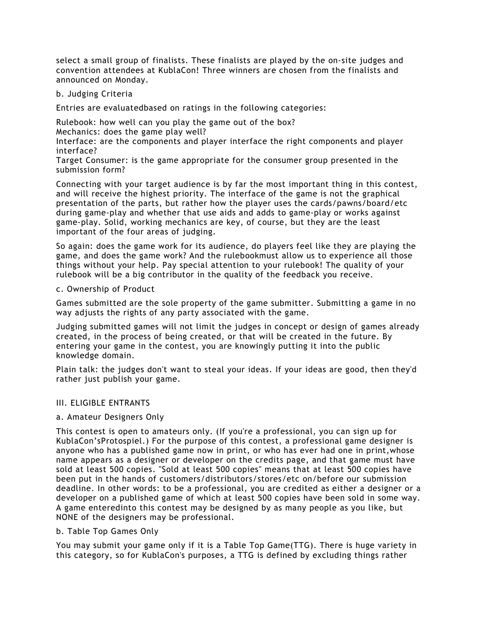select a small group of finalists. These finalists are played by the on-site judges and convention attendees at KublaCon! Three winners are chosen from the finalists and announced on Monday.

## b. Judging Criteria

Entries are evaluatedbased on ratings in the following categories:

Rulebook: how well can you play the game out of the box?

Mechanics: does the game play well?

Interface: are the components and player interface the right components and player interface?

Target Consumer: is the game appropriate for the consumer group presented in the submission form?

Connecting with your target audience is by far the most important thing in this contest, and will receive the highest priority. The interface of the game is not the graphical presentation of the parts, but rather how the player uses the cards/pawns/board/etc during game-play and whether that use aids and adds to game-play or works against game-play. Solid, working mechanics are key, of course, but they are the least important of the four areas of judging.

So again: does the game work for its audience, do players feel like they are playing the game, and does the game work? And the rulebookmust allow us to experience all those things without your help. Pay special attention to your rulebook! The quality of your rulebook will be a big contributor in the quality of the feedback you receive.

## c. Ownership of Product

Games submitted are the sole property of the game submitter. Submitting a game in no way adjusts the rights of any party associated with the game.

Judging submitted games will not limit the judges in concept or design of games already created, in the process of being created, or that will be created in the future. By entering your game in the contest, you are knowingly putting it into the public knowledge domain.

Plain talk: the judges don't want to steal your ideas. If your ideas are good, then they'd rather just publish your game.

## III. ELIGIBLE ENTRANTS

## a. Amateur Designers Only

This contest is open to amateurs only. (If you're a professional, you can sign up for KublaCon'sProtospiel.) For the purpose of this contest, a professional game designer is anyone who has a published game now in print, or who has ever had one in print,whose name appears as a designer or developer on the credits page, and that game must have sold at least 500 copies. "Sold at least 500 copies" means that at least 500 copies have been put in the hands of customers/distributors/stores/etc on/before our submission deadline. In other words: to be a professional, you are credited as either a designer or a developer on a published game of which at least 500 copies have been sold in some way. A game enteredinto this contest may be designed by as many people as you like, but NONE of the designers may be professional.

# b. Table Top Games Only

You may submit your game only if it is a Table Top Game(TTG). There is huge variety in this category, so for KublaCon's purposes, a TTG is defined by excluding things rather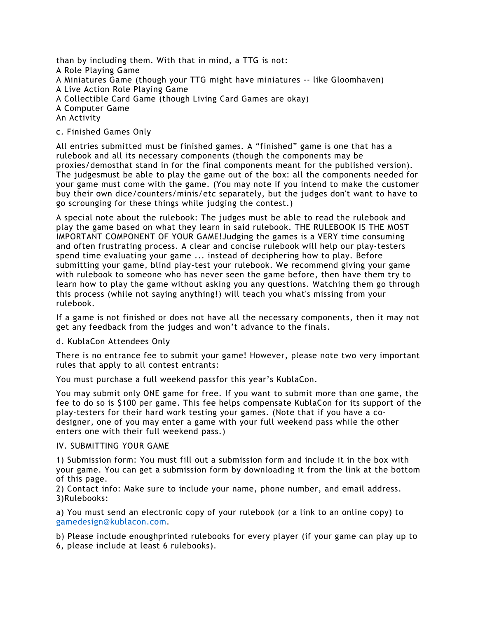than by including them. With that in mind, a TTG is not: A Role Playing Game A Miniatures Game (though your TTG might have miniatures -- like Gloomhaven) A Live Action Role Playing Game A Collectible Card Game (though Living Card Games are okay) A Computer Game An Activity

# c. Finished Games Only

All entries submitted must be finished games. A "finished" game is one that has a rulebook and all its necessary components (though the components may be proxies/demosthat stand in for the final components meant for the published version). The judgesmust be able to play the game out of the box: all the components needed for your game must come with the game. (You may note if you intend to make the customer buy their own dice/counters/minis/etc separately, but the judges don't want to have to go scrounging for these things while judging the contest.)

A special note about the rulebook: The judges must be able to read the rulebook and play the game based on what they learn in said rulebook. THE RULEBOOK IS THE MOST IMPORTANT COMPONENT OF YOUR GAME!Judging the games is a VERY time consuming and often frustrating process. A clear and concise rulebook will help our play-testers spend time evaluating your game ... instead of deciphering how to play. Before submitting your game, blind play-test your rulebook. We recommend giving your game with rulebook to someone who has never seen the game before, then have them try to learn how to play the game without asking you any questions. Watching them go through this process (while not saying anything!) will teach you what's missing from your rulebook.

If a game is not finished or does not have all the necessary components, then it may not get any feedback from the judges and won't advance to the finals.

## d. KublaCon Attendees Only

There is no entrance fee to submit your game! However, please note two very important rules that apply to all contest entrants:

You must purchase a full weekend passfor this year's KublaCon.

You may submit only ONE game for free. If you want to submit more than one game, the fee to do so is \$100 per game. This fee helps compensate KublaCon for its support of the play-testers for their hard work testing your games. (Note that if you have a codesigner, one of you may enter a game with your full weekend pass while the other enters one with their full weekend pass.)

## IV. SUBMITTING YOUR GAME

1) Submission form: You must fill out a submission form and include it in the box with your game. You can get a submission form by downloading it from the link at the bottom of this page.

2) Contact info: Make sure to include your name, phone number, and email address. 3)Rulebooks:

a) You must send an electronic copy of your rulebook (or a link to an online copy) to gamedesign@kublacon.com.

b) Please include enoughprinted rulebooks for every player (if your game can play up to 6, please include at least 6 rulebooks).